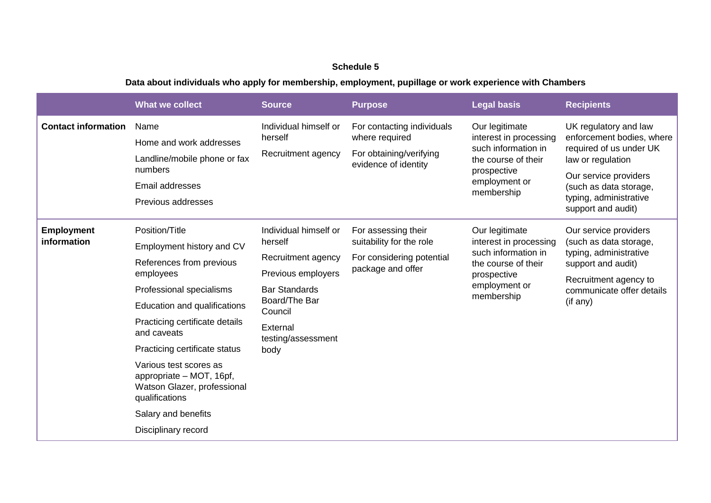## **Schedule 5**

## **Data about individuals who apply for membership, employment, pupillage or work experience with Chambers**

|                                  | <b>What we collect</b>                                                                                                                                                                                                                                                                                                                                                                  | <b>Source</b>                                                                                                                                                              | <b>Purpose</b>                                                                                    | <b>Legal basis</b>                                                                                                                   | <b>Recipients</b>                                                                                                                                                                                     |
|----------------------------------|-----------------------------------------------------------------------------------------------------------------------------------------------------------------------------------------------------------------------------------------------------------------------------------------------------------------------------------------------------------------------------------------|----------------------------------------------------------------------------------------------------------------------------------------------------------------------------|---------------------------------------------------------------------------------------------------|--------------------------------------------------------------------------------------------------------------------------------------|-------------------------------------------------------------------------------------------------------------------------------------------------------------------------------------------------------|
| <b>Contact information</b>       | Name<br>Home and work addresses<br>Landline/mobile phone or fax<br>numbers<br>Email addresses<br>Previous addresses                                                                                                                                                                                                                                                                     | Individual himself or<br>herself<br>Recruitment agency                                                                                                                     | For contacting individuals<br>where required<br>For obtaining/verifying<br>evidence of identity   | Our legitimate<br>interest in processing<br>such information in<br>the course of their<br>prospective<br>employment or<br>membership | UK regulatory and law<br>enforcement bodies, where<br>required of us under UK<br>law or regulation<br>Our service providers<br>(such as data storage,<br>typing, administrative<br>support and audit) |
| <b>Employment</b><br>information | Position/Title<br>Employment history and CV<br>References from previous<br>employees<br>Professional specialisms<br>Education and qualifications<br>Practicing certificate details<br>and caveats<br>Practicing certificate status<br>Various test scores as<br>appropriate - MOT, 16pf,<br>Watson Glazer, professional<br>qualifications<br>Salary and benefits<br>Disciplinary record | Individual himself or<br>herself<br>Recruitment agency<br>Previous employers<br><b>Bar Standards</b><br>Board/The Bar<br>Council<br>External<br>testing/assessment<br>body | For assessing their<br>suitability for the role<br>For considering potential<br>package and offer | Our legitimate<br>interest in processing<br>such information in<br>the course of their<br>prospective<br>employment or<br>membership | Our service providers<br>(such as data storage,<br>typing, administrative<br>support and audit)<br>Recruitment agency to<br>communicate offer details<br>(if any)                                     |